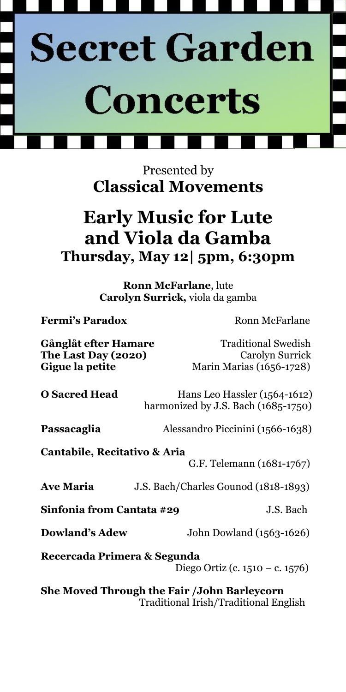

Presented by **Classical Movements**

# **Early Music for Lute and Viola da Gamba Thursday, May 12| 5pm, 6:30pm**

**Ronn McFarlane**, lute **Carolyn Surrick,** viola da gamba

**Fermi's Paradox Ronn McFarlane** 

Gånglåt efter Hamare Traditional Swedish **The Last Day (2020)** Carolyn Surrick Gigue la petite Marin Marias (1656-1728)

**O Sacred Head** Hans Leo Hassler (1564-1612) harmonized by J.S. Bach (1685-1750)

**Passacaglia** Alessandro Piccinini (1566-1638)

**Cantabile, Recitativo & Aria** 

G.F. Telemann (1681-1767)

**Ave Maria** J.S. Bach/Charles Gounod (1818-1893)

**Sinfonia from Cantata #29** J.S. Bach

**Dowland's Adew** John Dowland (1563-1626)

**Recercada Primera & Segunda** Diego Ortiz (c. 1510 – c. 1576)

**She Moved Through the Fair /John Barleycorn**  Traditional Irish/Traditional English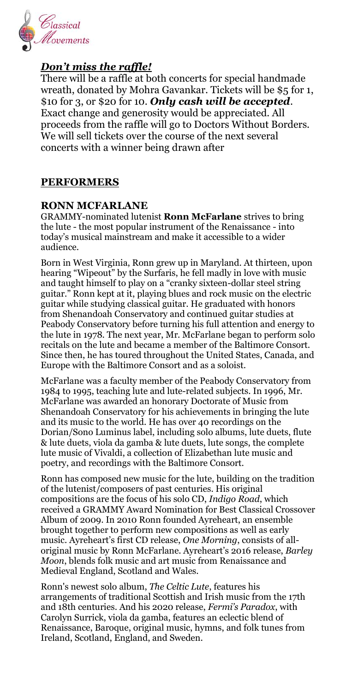

### *Don't miss the raffle!*

There will be a raffle at both concerts for special handmade wreath, donated by Mohra Gavankar. Tickets will be \$5 for 1, \$10 for 3, or \$20 for 10. *Only cash will be accepted*. Exact change and generosity would be appreciated. All proceeds from the raffle will go to Doctors Without Borders. We will sell tickets over the course of the next several concerts with a winner being drawn after

### **PERFORMERS**

### **RONN MCFARLANE**

GRAMMY-nominated lutenist **Ronn McFarlane** strives to bring the lute - the most popular instrument of the Renaissance - into today's musical mainstream and make it accessible to a wider audience.

Born in West Virginia, Ronn grew up in Maryland. At thirteen, upon hearing "Wipeout" by the Surfaris, he fell madly in love with music and taught himself to play on a "cranky sixteen-dollar steel string guitar." Ronn kept at it, playing blues and rock music on the electric guitar while studying classical guitar. He graduated with honors from Shenandoah Conservatory and continued guitar studies at Peabody Conservatory before turning his full attention and energy to the lute in 1978. The next year, Mr. McFarlane began to perform solo recitals on the lute and became a member of the Baltimore Consort. Since then, he has toured throughout the United States, Canada, and Europe with the Baltimore Consort and as a soloist.

McFarlane was a faculty member of the Peabody Conservatory from 1984 to 1995, teaching lute and lute-related subjects. In 1996, Mr. McFarlane was awarded an honorary Doctorate of Music from Shenandoah Conservatory for his achievements in bringing the lute and its music to the world. He has over 40 recordings on the Dorian/Sono Luminus label, including solo albums, lute duets, flute & lute duets, viola da gamba & lute duets, lute songs, the complete lute music of Vivaldi, a collection of Elizabethan lute music and poetry, and recordings with the Baltimore Consort.

Ronn has composed new music for the lute, building on the tradition of the lutenist/composers of past centuries. His original compositions are the focus of his solo CD, *Indigo Road*, which received a GRAMMY Award Nomination for Best Classical Crossover Album of 2009. In 2010 Ronn founded Ayreheart, an ensemble brought together to perform new compositions as well as early music. Ayreheart's first CD release, *One Morning*, consists of alloriginal music by Ronn McFarlane. Ayreheart's 2016 release, *Barley Moon*, blends folk music and art music from Renaissance and Medieval England, Scotland and Wales.

Ronn's newest solo album, *The Celtic Lute*, features his arrangements of traditional Scottish and Irish music from the 17th and 18th centuries. And his 2020 release, *Fermi's Paradox*, with Carolyn Surrick, viola da gamba, features an eclectic blend of Renaissance, Baroque, original music, hymns, and folk tunes from Ireland, Scotland, England, and Sweden.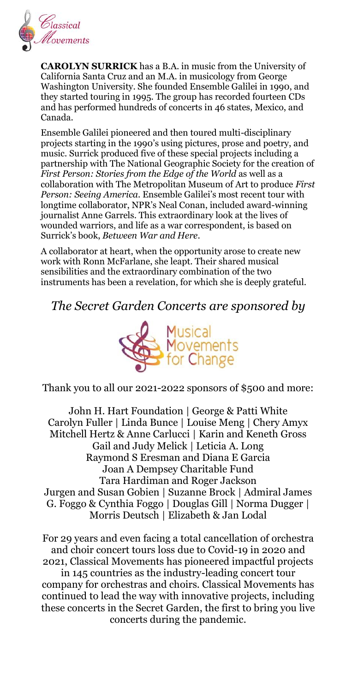

**CAROLYN SURRICK** has a B.A. in music from the University of California Santa Cruz and an M.A. in musicology from George Washington University. She founded Ensemble Galilei in 1990, and they started touring in 1995. The group has recorded fourteen CDs and has performed hundreds of concerts in 46 states, Mexico, and Canada.

Ensemble Galilei pioneered and then toured multi-disciplinary projects starting in the 1990's using pictures, prose and poetry, and music. Surrick produced five of these special projects including a partnership with The National Geographic Society for the creation of *First Person: Stories from the Edge of the World* as well as a collaboration with The Metropolitan Museum of Art to produce *First Person: Seeing America*. Ensemble Galilei's most recent tour with longtime collaborator, NPR's Neal Conan, included award-winning journalist Anne Garrels. This extraordinary look at the lives of wounded warriors, and life as a war correspondent, is based on Surrick's book, *Between War and Here*.

A collaborator at heart, when the opportunity arose to create new work with Ronn McFarlane, she leapt. Their shared musical sensibilities and the extraordinary combination of the two instruments has been a revelation, for which she is deeply grateful.

### *The Secret Garden Concerts are sponsored by*



Thank you to all our 2021-2022 sponsors of \$500 and more:

John H. Hart Foundation | George & Patti White Carolyn Fuller | Linda Bunce | Louise Meng | Chery Amyx Mitchell Hertz & Anne Carlucci | Karin and Keneth Gross Gail and Judy Melick | Leticia A. Long Raymond S Eresman and Diana E Garcia Joan A Dempsey Charitable Fund Tara Hardiman and Roger Jackson Jurgen and Susan Gobien | Suzanne Brock | Admiral James G. Foggo & Cynthia Foggo | Douglas Gill | Norma Dugger | Morris Deutsch | Elizabeth & Jan Lodal

For 29 years and even facing a total cancellation of orchestra and choir concert tours loss due to Covid-19 in 2020 and 2021, Classical Movements has pioneered impactful projects in 145 countries as the industry-leading concert tour

company for orchestras and choirs. Classical Movements has continued to lead the way with innovative projects, including these concerts in the Secret Garden, the first to bring you live concerts during the pandemic.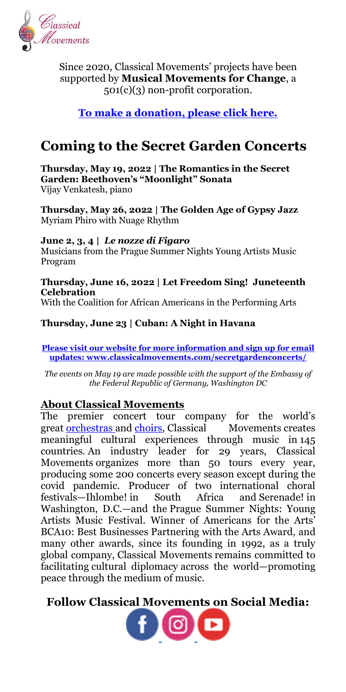

Since 2020, Classical Movements' projects have been supported by **Musical Movements for Change**, a 501(c)(3) non-profit corporation.

**[To make a donation, please click here.](https://musicalmovements.org/make-a-donation/)**

## **Coming to the Secret Garden Concerts**

**Thursday, May 19, 2022 | The Romantics in the Secret Garden: Beethoven's "Moonlight" Sonata** Vijay Venkatesh, piano

**Thursday, May 26, 2022 | The Golden Age of Gypsy Jazz** Myriam Phiro with Nuage Rhythm

**June 2, 3, 4 |** *Le nozze di Figaro* Musicians from the Prague Summer Nights Young Artists Music Program

### **Thursday, June 16, 2022 | Let Freedom Sing! Juneteenth Celebration**

With the Coalition for African Americans in the Performing Arts

### **Thursday, June 23 | Cuban: A Night in Havana**

**[Please visit our website for more information and sign up for email](http://www.classicalmovements.com/secretgardenconcerts)  [updates:](http://www.classicalmovements.com/secretgardenconcerts) [www.classicalmovements.com/secretgardenconcerts/](http://www.classicalmovements.com/secretgardenconcerts/)**

*The events on May 19 are made possible with the support of the Embassy of the Federal Republic of Germany, Washington DC*

### **About Classical Movements**

The premier concert tour company for the world's great **[orchestras](https://www.classicalmovements.com/orchestras/) and choirs**, Classical Movements creates meaningful cultural experiences through music in 145 countries. An industry leader for 29 years, Classical Movements organizes more than 50 tours every year, producing some 200 concerts every season except during the covid pandemic. Producer of two international choral festivals—Ihlombe! in South Africa and Serenade! in Washington, D.C.—and the Prague Summer Nights: Young Artists Music Festival. Winner of Americans for the Arts' BCA10: Best Businesses Partnering with the Arts Award, and many other awards, since its founding in 1992, as a truly global company, Classical Movements remains committed to facilitating cultural diplomacy across the world—promoting peace through the medium of music.

**Follow Classical Movements on Social Media:**